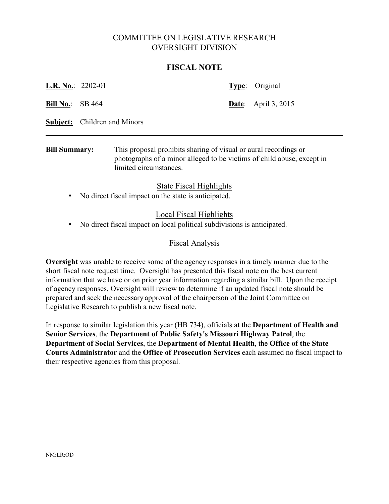# COMMITTEE ON LEGISLATIVE RESEARCH OVERSIGHT DIVISION

### **FISCAL NOTE**

| <b>Bill Summary:</b>     |  |                                     |  | This proposal prohibits sharing of visual or aural recordings or |  |
|--------------------------|--|-------------------------------------|--|------------------------------------------------------------------|--|
|                          |  | <b>Subject:</b> Children and Minors |  |                                                                  |  |
| <b>Bill No.:</b> SB 464  |  |                                     |  | <b>Date:</b> April 3, 2015                                       |  |
| <b>L.R. No.:</b> 2202-01 |  |                                     |  | Type: Original                                                   |  |

photographs of a minor alleged to be victims of child abuse, except in limited circumstances.

## State Fiscal Highlights

• No direct fiscal impact on the state is anticipated.

## Local Fiscal Highlights

• No direct fiscal impact on local political subdivisions is anticipated.

## Fiscal Analysis

**Oversight** was unable to receive some of the agency responses in a timely manner due to the short fiscal note request time. Oversight has presented this fiscal note on the best current information that we have or on prior year information regarding a similar bill. Upon the receipt of agency responses, Oversight will review to determine if an updated fiscal note should be prepared and seek the necessary approval of the chairperson of the Joint Committee on Legislative Research to publish a new fiscal note.

In response to similar legislation this year (HB 734), officials at the **Department of Health and Senior Services**, the **Department of Public Safety's Missouri Highway Patrol**, the **Department of Social Services**, the **Department of Mental Health**, the **Office of the State Courts Administrator** and the **Office of Prosecution Services** each assumed no fiscal impact to their respective agencies from this proposal.